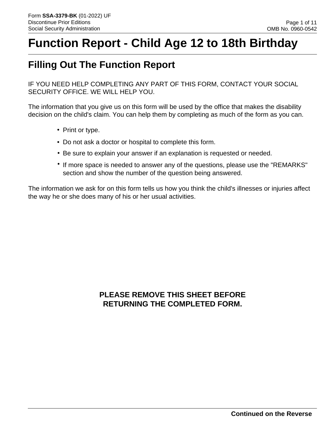# **Function Report - Child Age 12 to 18th Birthday**

# **Filling Out The Function Report**

IF YOU NEED HELP COMPLETING ANY PART OF THIS FORM, CONTACT YOUR SOCIAL SECURITY OFFICE. WE WILL HELP YOU.

The information that you give us on this form will be used by the office that makes the disability decision on the child's claim. You can help them by completing as much of the form as you can.

- Print or type.
- Do not ask a doctor or hospital to complete this form.
- Be sure to explain your answer if an explanation is requested or needed.
- If more space is needed to answer any of the questions, please use the "REMARKS" section and show the number of the question being answered.

The information we ask for on this form tells us how you think the child's illnesses or injuries affect the way he or she does many of his or her usual activities.

## **PLEASE REMOVE THIS SHEET BEFORE RETURNING THE COMPLETED FORM.**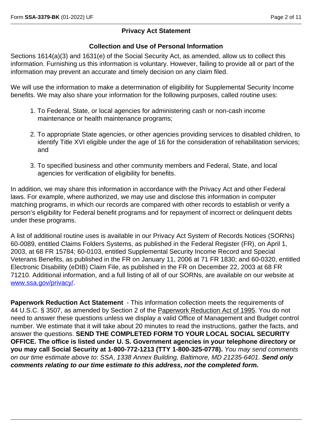#### **Privacy Act Statement**

#### **Collection and Use of Personal Information**

Sections 1614(a)(3) and 1631(e) of the Social Security Act, as amended, allow us to collect this information. Furnishing us this information is voluntary. However, failing to provide all or part of the information may prevent an accurate and timely decision on any claim filed.

We will use the information to make a determination of eligibility for Supplemental Security Income benefits. We may also share your information for the following purposes, called routine uses:

- 1. To Federal, State, or local agencies for administering cash or non-cash income maintenance or health maintenance programs;
- 2. To appropriate State agencies, or other agencies providing services to disabled children, to identify Title XVI eligible under the age of 16 for the consideration of rehabilitation services; and
- 3. To specified business and other community members and Federal, State, and local agencies for verification of eligibility for benefits.

In addition, we may share this information in accordance with the Privacy Act and other Federal laws. For example, where authorized, we may use and disclose this information in computer matching programs, in which our records are compared with other records to establish or verify a person's eligibility for Federal benefit programs and for repayment of incorrect or delinquent debts under these programs.

A list of additional routine uses is available in our Privacy Act System of Records Notices (SORNs) 60-0089, entitled Claims Folders Systems, as published in the Federal Register (FR), on April 1, 2003, at 68 FR 15784; 60-0103, entitled Supplemental Security Income Record and Special Veterans Benefits, as published in the FR on January 11, 2006 at 71 FR 1830; and 60-0320, entitled Electronic Disability (eDIB) Claim File, as published in the FR on December 22, 2003 at 68 FR 71210. Additional information, and a full listing of all of our SORNs, are available on our website at www.ssa.gov/privacy/.

**Paperwork Reduction Act Statement** - This information collection meets the requirements of 44 U.S.C. § 3507, as amended by Section 2 of the Paperwork Reduction Act of 1995. You do not need to answer these questions unless we display a valid Office of Management and Budget control number. We estimate that it will take about 20 minutes to read the instructions, gather the facts, and answer the questions. **SEND THE COMPLETED FORM TO YOUR LOCAL SOCIAL SECURITY OFFICE. The office is listed under U. S. Government agencies in your telephone directory or you may call Social Security at 1-800-772-1213 (TTY 1-800-325-0778).** *You may send comments on our time estimate above to*: *SSA*, *1338 Annex Building, Baltimore, MD 21235-6401. Send only comments relating to our time estimate to this address, not the completed form.*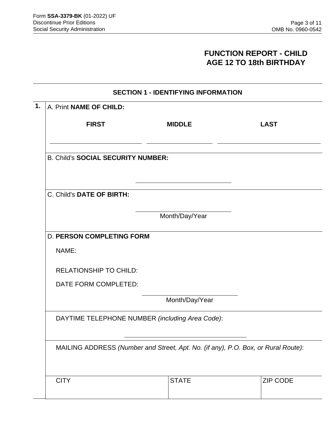### **FUNCTION REPORT - CHILD AGE 12 TO 18th BIRTHDAY**

| <b>SECTION 1 - IDENTIFYING INFORMATION</b>                                        |             |  |  |  |
|-----------------------------------------------------------------------------------|-------------|--|--|--|
|                                                                                   |             |  |  |  |
| <b>MIDDLE</b>                                                                     | <b>LAST</b> |  |  |  |
| <b>B. Child's SOCIAL SECURITY NUMBER:</b>                                         |             |  |  |  |
| C. Child's DATE OF BIRTH:                                                         |             |  |  |  |
| Month/Day/Year                                                                    |             |  |  |  |
| <b>D. PERSON COMPLETING FORM</b>                                                  |             |  |  |  |
|                                                                                   |             |  |  |  |
| <b>RELATIONSHIP TO CHILD:</b>                                                     |             |  |  |  |
| DATE FORM COMPLETED:                                                              |             |  |  |  |
| Month/Day/Year                                                                    |             |  |  |  |
| DAYTIME TELEPHONE NUMBER (including Area Code):                                   |             |  |  |  |
|                                                                                   |             |  |  |  |
| MAILING ADDRESS (Number and Street, Apt. No. (if any), P.O. Box, or Rural Route): |             |  |  |  |
|                                                                                   |             |  |  |  |
|                                                                                   |             |  |  |  |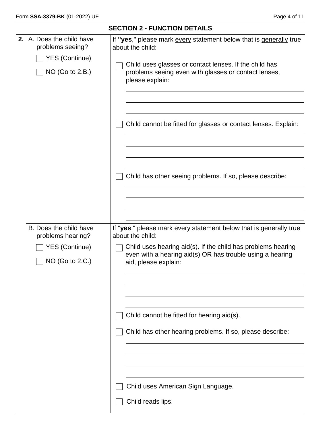|    |                                                                                           | <b>SECTION 2 - FUNCTION DETAILS</b>                                                                                                                                                                                                                                                           |
|----|-------------------------------------------------------------------------------------------|-----------------------------------------------------------------------------------------------------------------------------------------------------------------------------------------------------------------------------------------------------------------------------------------------|
| 2. | A. Does the child have<br>problems seeing?<br><b>YES (Continue)</b><br>NO (Go to 2.B.)    | If "yes," please mark every statement below that is generally true<br>about the child:<br>Child uses glasses or contact lenses. If the child has<br>problems seeing even with glasses or contact lenses,<br>please explain:<br>Child cannot be fitted for glasses or contact lenses. Explain: |
|    |                                                                                           | Child has other seeing problems. If so, please describe:                                                                                                                                                                                                                                      |
|    | B. Does the child have<br>problems hearing?<br><b>YES (Continue)</b><br>$NO$ (Go to 2.C.) | If "yes," please mark every statement below that is generally true<br>about the child:<br>Child uses hearing aid(s). If the child has problems hearing<br>even with a hearing aid(s) OR has trouble using a hearing<br>aid, please explain:                                                   |
|    |                                                                                           | Child cannot be fitted for hearing aid(s).<br>Child has other hearing problems. If so, please describe:                                                                                                                                                                                       |
|    |                                                                                           | Child uses American Sign Language.<br>Child reads lips.                                                                                                                                                                                                                                       |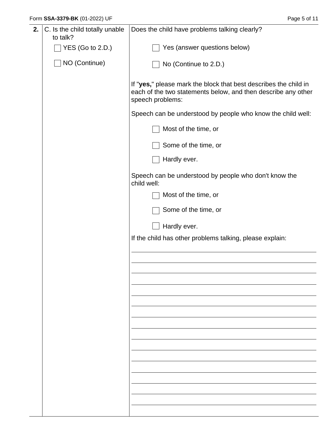| 2. | C. Is the child totally unable<br>to talk? | Does the child have problems talking clearly?                                                                                                         |
|----|--------------------------------------------|-------------------------------------------------------------------------------------------------------------------------------------------------------|
|    | YES (Go to 2.D.)                           | Yes (answer questions below)                                                                                                                          |
|    | NO (Continue)                              | No (Continue to 2.D.)                                                                                                                                 |
|    |                                            | If "yes," please mark the block that best describes the child in<br>each of the two statements below, and then describe any other<br>speech problems: |
|    |                                            | Speech can be understood by people who know the child well:                                                                                           |
|    |                                            | Most of the time, or                                                                                                                                  |
|    |                                            | Some of the time, or                                                                                                                                  |
|    |                                            | Hardly ever.                                                                                                                                          |
|    |                                            | Speech can be understood by people who don't know the<br>child well:                                                                                  |
|    |                                            | Most of the time, or                                                                                                                                  |
|    |                                            | Some of the time, or                                                                                                                                  |
|    |                                            | Hardly ever.                                                                                                                                          |
|    |                                            | If the child has other problems talking, please explain:                                                                                              |
|    |                                            |                                                                                                                                                       |
|    |                                            |                                                                                                                                                       |
|    |                                            |                                                                                                                                                       |
|    |                                            |                                                                                                                                                       |
|    |                                            |                                                                                                                                                       |
|    |                                            |                                                                                                                                                       |
|    |                                            |                                                                                                                                                       |
|    |                                            |                                                                                                                                                       |
|    |                                            |                                                                                                                                                       |
|    |                                            |                                                                                                                                                       |
|    |                                            |                                                                                                                                                       |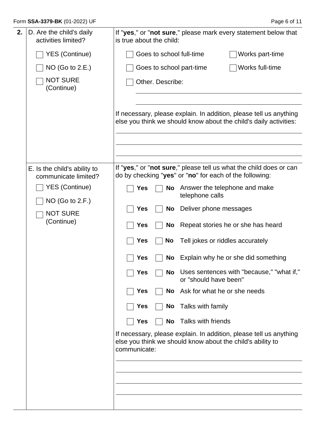| Form SSA-3379-BK (01-2022) UF |  |
|-------------------------------|--|
|-------------------------------|--|

| 2. | D. Are the child's daily<br>activities limited?      | If "yes," or "not sure," please mark every statement below that<br>is true about the child:                                                      |
|----|------------------------------------------------------|--------------------------------------------------------------------------------------------------------------------------------------------------|
|    | <b>YES (Continue)</b>                                | Goes to school full-time<br>Works part-time                                                                                                      |
|    | NO (Go to 2.E.)                                      | Works full-time<br>Goes to school part-time                                                                                                      |
|    | <b>NOT SURE</b><br>(Continue)                        | Other. Describe:                                                                                                                                 |
|    |                                                      | If necessary, please explain. In addition, please tell us anything<br>else you think we should know about the child's daily activities:          |
|    | E. Is the child's ability to<br>communicate limited? | If "yes," or "not sure," please tell us what the child does or can<br>do by checking "yes" or "no" for each of the following:                    |
|    | <b>YES (Continue)</b>                                | Answer the telephone and make<br>Yes<br><b>No</b><br>telephone calls                                                                             |
|    | $NO$ (Go to 2.F.)<br><b>NOT SURE</b>                 | Deliver phone messages<br><b>Yes</b><br>No                                                                                                       |
|    | (Continue)                                           | Repeat stories he or she has heard<br><b>Yes</b><br>No                                                                                           |
|    |                                                      | Tell jokes or riddles accurately<br>Yes<br>No                                                                                                    |
|    |                                                      | Explain why he or she did something<br>Yes<br>No                                                                                                 |
|    |                                                      | No Uses sentences with "because," "what if,"<br>Yes<br>or "should have been"                                                                     |
|    |                                                      | Ask for what he or she needs<br>No<br><b>Yes</b>                                                                                                 |
|    |                                                      | Talks with family<br>No<br>Yes                                                                                                                   |
|    |                                                      | Talks with friends<br><b>Yes</b><br>No                                                                                                           |
|    |                                                      | If necessary, please explain. In addition, please tell us anything<br>else you think we should know about the child's ability to<br>communicate: |
|    |                                                      |                                                                                                                                                  |
|    |                                                      |                                                                                                                                                  |
|    |                                                      |                                                                                                                                                  |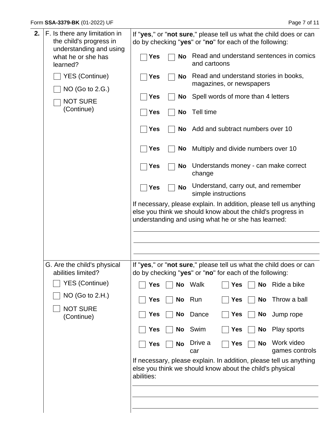$\overline{ }$ 

| 2. | F. Is there any limitation in<br>the child's progress in<br>understanding and using |            |           | If "yes," or "not sure," please tell us what the child does or can<br>do by checking "yes" or "no" for each of the following:                                                            |
|----|-------------------------------------------------------------------------------------|------------|-----------|------------------------------------------------------------------------------------------------------------------------------------------------------------------------------------------|
|    | what he or she has<br>learned?                                                      | <b>Yes</b> | <b>No</b> | Read and understand sentences in comics<br>and cartoons                                                                                                                                  |
|    | <b>YES (Continue)</b><br>NO (Go to 2.G.)                                            | <b>Yes</b> | <b>No</b> | Read and understand stories in books,<br>magazines, or newspapers                                                                                                                        |
|    | <b>NOT SURE</b>                                                                     | <b>Yes</b> | No        | Spell words of more than 4 letters                                                                                                                                                       |
|    | (Continue)                                                                          | <b>Yes</b> | <b>No</b> | Tell time                                                                                                                                                                                |
|    |                                                                                     | <b>Yes</b> |           | No Add and subtract numbers over 10                                                                                                                                                      |
|    |                                                                                     | <b>Yes</b> |           | No Multiply and divide numbers over 10                                                                                                                                                   |
|    |                                                                                     | <b>Yes</b> |           | No Understands money - can make correct<br>change                                                                                                                                        |
|    |                                                                                     | <b>Yes</b> | <b>No</b> | Understand, carry out, and remember<br>simple instructions                                                                                                                               |
|    |                                                                                     |            |           | If necessary, please explain. In addition, please tell us anything<br>else you think we should know about the child's progress in<br>understanding and using what he or she has learned: |
|    |                                                                                     |            |           |                                                                                                                                                                                          |
|    | G. Are the child's physical<br>abilities limited?                                   |            |           | If "yes," or "not sure," please tell us what the child does or can<br>do by checking "yes" or "no" for each of the following:                                                            |
|    | <b>YES (Continue)</b>                                                               | <b>Yes</b> |           | No Walk<br>No Ride a bike<br><b>Yes</b>                                                                                                                                                  |
|    | NO (Go to 2.H.)                                                                     | Yes        | No        | Run<br>Throw a ball<br><b>Yes</b><br>No                                                                                                                                                  |
|    | <b>NOT SURE</b><br>(Continue)                                                       | <b>Yes</b> | No        | Dance<br>No Jump rope<br><b>Yes</b>                                                                                                                                                      |
|    |                                                                                     | <b>Yes</b> | No        | Swim<br>Play sports<br>Yes<br>No                                                                                                                                                         |
|    |                                                                                     | <b>Yes</b> | No        | Work video<br>Drive a<br><b>No</b><br><b>Yes</b><br>games controls<br>car                                                                                                                |
|    |                                                                                     | abilities: |           | If necessary, please explain. In addition, please tell us anything<br>else you think we should know about the child's physical                                                           |
|    |                                                                                     |            |           |                                                                                                                                                                                          |
|    |                                                                                     |            |           |                                                                                                                                                                                          |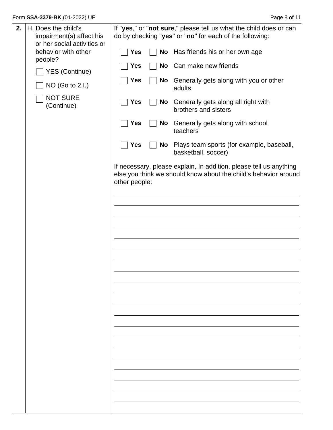| 2. | H. Does the child's<br>impairment(s) affect his<br>or her social activities or |               |    | If "yes," or "not sure," please tell us what the child does or can<br>do by checking "yes" or "no" for each of the following:         |
|----|--------------------------------------------------------------------------------|---------------|----|---------------------------------------------------------------------------------------------------------------------------------------|
|    | behavior with other<br>people?                                                 | <b>Yes</b>    | No | Has friends his or her own age                                                                                                        |
|    | <b>YES (Continue)</b>                                                          | Yes           | No | Can make new friends                                                                                                                  |
|    | NO (Go to 2.I.)                                                                | <b>Yes</b>    | No | Generally gets along with you or other<br>adults                                                                                      |
|    | <b>NOT SURE</b><br>(Continue)                                                  | <b>Yes</b>    | No | Generally gets along all right with<br>brothers and sisters                                                                           |
|    |                                                                                | <b>Yes</b>    | No | Generally gets along with school<br>teachers                                                                                          |
|    |                                                                                | <b>Yes</b>    | No | Plays team sports (for example, baseball,<br>basketball, soccer)                                                                      |
|    |                                                                                | other people: |    | If necessary, please explain, In addition, please tell us anything<br>else you think we should know about the child's behavior around |
|    |                                                                                |               |    |                                                                                                                                       |
|    |                                                                                |               |    |                                                                                                                                       |
|    |                                                                                |               |    |                                                                                                                                       |
|    |                                                                                |               |    |                                                                                                                                       |
|    |                                                                                |               |    |                                                                                                                                       |
|    |                                                                                |               |    |                                                                                                                                       |
|    |                                                                                |               |    |                                                                                                                                       |
|    |                                                                                |               |    |                                                                                                                                       |
|    |                                                                                |               |    |                                                                                                                                       |
|    |                                                                                |               |    |                                                                                                                                       |
|    |                                                                                |               |    |                                                                                                                                       |
|    |                                                                                |               |    |                                                                                                                                       |
|    |                                                                                |               |    |                                                                                                                                       |
|    |                                                                                |               |    |                                                                                                                                       |
|    |                                                                                |               |    |                                                                                                                                       |
|    |                                                                                |               |    |                                                                                                                                       |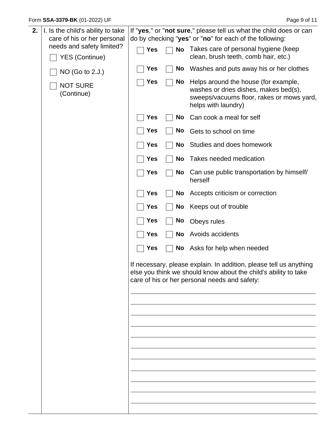| 2. | I. Is the child's ability to take<br>care of his or her personal |            |           | If "yes," or "not sure," please tell us what the child does or can<br>do by checking "yes" or "no" for each of the following:                                                          |
|----|------------------------------------------------------------------|------------|-----------|----------------------------------------------------------------------------------------------------------------------------------------------------------------------------------------|
|    | needs and safety limited?                                        | <b>Yes</b> |           | No Takes care of personal hygiene (keep                                                                                                                                                |
|    | <b>YES (Continue)</b>                                            |            |           | clean, brush teeth, comb hair, etc.)                                                                                                                                                   |
|    | NO (Go to 2.J.)                                                  | Yes        | No        | Washes and puts away his or her clothes                                                                                                                                                |
|    | <b>NOT SURE</b><br>(Continue)                                    | Yes        | No        | Helps around the house (for example,<br>washes or dries dishes, makes bed(s),<br>sweeps/vacuums floor, rakes or mows yard,<br>helps with laundry)                                      |
|    |                                                                  | Yes        | No        | Can cook a meal for self                                                                                                                                                               |
|    |                                                                  | <b>Yes</b> | No        | Gets to school on time                                                                                                                                                                 |
|    |                                                                  | <b>Yes</b> | No        | Studies and does homework                                                                                                                                                              |
|    |                                                                  | <b>Yes</b> | <b>No</b> | Takes needed medication                                                                                                                                                                |
|    |                                                                  | <b>Yes</b> | No        | Can use public transportation by himself/<br>herself                                                                                                                                   |
|    |                                                                  | <b>Yes</b> | No        | Accepts criticism or correction                                                                                                                                                        |
|    |                                                                  | <b>Yes</b> | No        | Keeps out of trouble                                                                                                                                                                   |
|    |                                                                  | <b>Yes</b> | <b>No</b> | Obeys rules                                                                                                                                                                            |
|    |                                                                  | <b>Yes</b> | <b>No</b> | Avoids accidents                                                                                                                                                                       |
|    |                                                                  | <b>Yes</b> |           | No Asks for help when needed                                                                                                                                                           |
|    |                                                                  |            |           | If necessary, please explain. In addition, please tell us anything<br>else you think we should know about the child's ability to take<br>care of his or her personal needs and safety: |
|    |                                                                  |            |           |                                                                                                                                                                                        |
|    |                                                                  |            |           |                                                                                                                                                                                        |
|    |                                                                  |            |           |                                                                                                                                                                                        |
|    |                                                                  |            |           |                                                                                                                                                                                        |
|    |                                                                  |            |           |                                                                                                                                                                                        |
|    |                                                                  |            |           |                                                                                                                                                                                        |
|    |                                                                  |            |           |                                                                                                                                                                                        |
|    |                                                                  |            |           |                                                                                                                                                                                        |
|    |                                                                  |            |           |                                                                                                                                                                                        |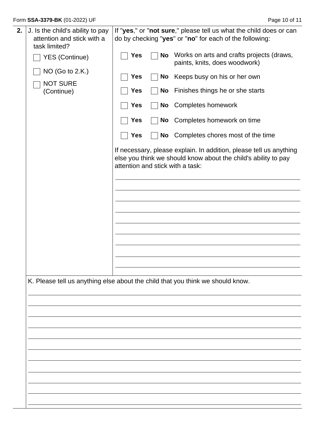| 2. | J. Is the child's ability to pay<br>attention and stick with a<br>task limited? |            |    | If "yes," or "not sure," please tell us what the child does or can<br>do by checking "yes" or "no" for each of the following:                                            |
|----|---------------------------------------------------------------------------------|------------|----|--------------------------------------------------------------------------------------------------------------------------------------------------------------------------|
|    | <b>YES (Continue)</b>                                                           | <b>Yes</b> | No | Works on arts and crafts projects (draws,<br>paints, knits, does woodwork)                                                                                               |
|    | NO (Go to 2.K.)                                                                 | <b>Yes</b> |    | No Keeps busy on his or her own                                                                                                                                          |
|    | <b>NOT SURE</b><br>(Continue)                                                   | <b>Yes</b> |    | No Finishes things he or she starts                                                                                                                                      |
|    |                                                                                 | <b>Yes</b> |    | No Completes homework                                                                                                                                                    |
|    |                                                                                 | <b>Yes</b> | No | Completes homework on time                                                                                                                                               |
|    |                                                                                 | <b>Yes</b> |    | No Completes chores most of the time                                                                                                                                     |
|    |                                                                                 |            |    | If necessary, please explain. In addition, please tell us anything<br>else you think we should know about the child's ability to pay<br>attention and stick with a task: |
|    |                                                                                 |            |    |                                                                                                                                                                          |
|    |                                                                                 |            |    |                                                                                                                                                                          |
|    |                                                                                 |            |    |                                                                                                                                                                          |
|    |                                                                                 |            |    |                                                                                                                                                                          |
|    |                                                                                 |            |    |                                                                                                                                                                          |
|    |                                                                                 |            |    |                                                                                                                                                                          |
|    |                                                                                 |            |    |                                                                                                                                                                          |
|    |                                                                                 |            |    | K. Please tell us anything else about the child that you think we should know.                                                                                           |
|    |                                                                                 |            |    |                                                                                                                                                                          |
|    |                                                                                 |            |    |                                                                                                                                                                          |
|    |                                                                                 |            |    |                                                                                                                                                                          |
|    |                                                                                 |            |    |                                                                                                                                                                          |
|    |                                                                                 |            |    |                                                                                                                                                                          |
|    |                                                                                 |            |    |                                                                                                                                                                          |
|    |                                                                                 |            |    |                                                                                                                                                                          |
|    |                                                                                 |            |    |                                                                                                                                                                          |